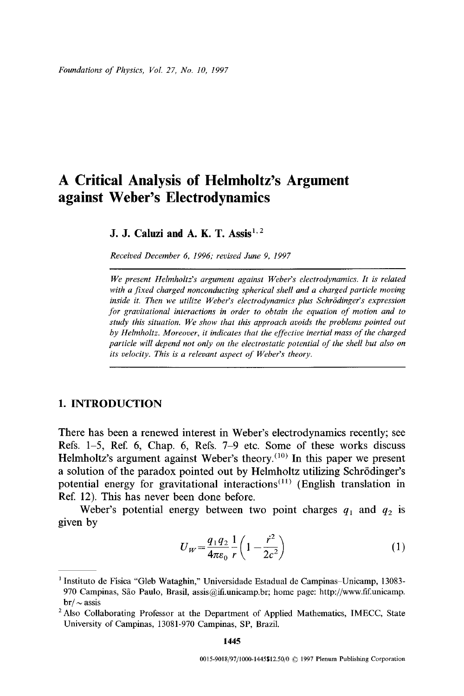# **A Critical Analysis of Helmholtz's Argument against Weber's Electrodynamics**

### **J. J. Caluzi and A. K. T. Assis**<sup>1,2</sup>

*Received December 6, 1996; revised June 9, 1997* 

*We present Helmholtz's argument against Weber's electrodynamies. It is related with a fixed charged nonconducting spherical shell and a charged particle moving*  inside it. Then we utilize Weber's electrodynamics plus Schrödinger's expression *for gravitational interactions in order to obtain the equation of motion and to study this situation. We show that this approach avoids the problems pointed out*  by Helmholtz. Moreover, it indicates that the effective inertial mass of the charged *particle will depend not only on the electrostatic potential of the shell but also on its velocity. This is a relevant aspect of Weber's theory.* 

#### 1. INTRODUCTION

There has been a renewed interest in Weber's electrodynamics recently; see Refs. 1-5, Ref. 6, Chap. 6, Refs. 7-9 etc. Some of these works discuss Helmholtz's argument against Weber's theory. $(10)$  In this paper we present a solution of the paradox pointed out by Helmholtz utilizing Schrödinger's potential energy for gravitational interactions<sup> $(11)$ </sup> (English translation in Ref. 12). This has never been done before.

Weber's potential energy between two point charges  $q_1$  and  $q_2$  is given by

$$
U_W = \frac{q_1 q_2}{4\pi\varepsilon_0} \frac{1}{r} \left( 1 - \frac{\dot{r}^2}{2c^2} \right) \tag{1}
$$

<sup>&</sup>lt;sup>1</sup> Instituto de Física "Gleb Wataghin," Universidade Estadual de Campinas-Unicamp, 13083-970 Campinas, São Paulo, Brasil, assis@ifi.unicamp.br; home page: http://www.fif.unicamp.  $br/\sim$  assis

<sup>&</sup>lt;sup>2</sup> Also Collaborating Professor at the Department of Applied Mathematics, IMECC, State University of Campinas, 13081-970 Campinas, SP, Brazil.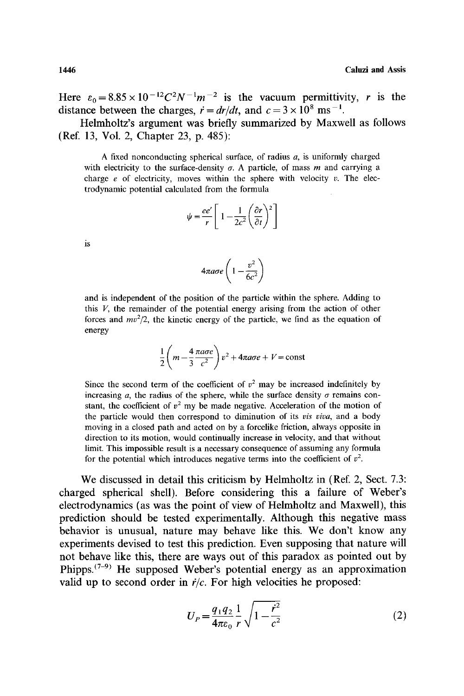Here  $\varepsilon_0 = 8.85 \times 10^{-12} C^2 N^{-1} m^{-2}$  is the vacuum permittivity, r is the distance between the charges,  $\dot{r} = dr/dt$ , and  $c = 3 \times 10^8$  ms<sup>-1</sup>.

Helmholtz's argument was briefly summarized by Maxwell as follows (Ref. 13, Vol. 2, Chapter 23, p. 485):

A fixed nonconducting spherical surface, of radius a, is uniformly charged with electricity to the surface-density  $\sigma$ . A particle, of mass m and carrying a charge  $e$  of electricity, moves within the sphere with velocity  $v$ . The electrodynamic potential calculated from the formula

$$
\psi = \frac{ee'}{r} \left[ 1 - \frac{1}{2c^2} \left( \frac{\partial r}{\partial t} \right)^2 \right]
$$

is

$$
4\pi a\sigma e \left(1-\frac{v^2}{6c^2}\right)
$$

and is independent of the position of the particle within the sphere. Adding to this  $V$ , the remainder of the potential energy arising from the action of other forces and  $mv^2/2$ , the kinetic energy of the particle, we find as the equation of energy

$$
\frac{1}{2}\left(m-\frac{4}{3}\frac{\pi a\sigma e}{c^2}\right)v^2+4\pi a\sigma e+V=\text{const}
$$

Since the second term of the coefficient of  $v^2$  may be increased indefinitely by increasing a, the radius of the sphere, while the surface density  $\sigma$  remains constant, the coefficient of  $v^2$  my be made negative. Acceleration of the motion of the particle would then correspond to diminution of its *vis viva,* and a body moving in a closed path and acted on by a forcelike friction, always opposite in direction to its motion, would continually increase in velocity, and that without limit. This impossible result is a necessary consequence of assuming any formula for the potential which introduces negative terms into the coefficient of  $v^2$ .

We discussed in detail this criticism by Helmholtz in (Ref. 2, Sect. 7.3: charged spherical shell). Before considering this a failure of Weber's electrodynamics (as was the point of view of Helmholtz and Maxwell), this prediction should be tested experimentally. Although this negative mass behavior is unusual, nature may behave like this. We don't know any experiments devised to test this prediction. Even supposing that nature will not behave like this, there are ways out of this paradox as pointed out by Phipps.<sup> $(7-9)$ </sup> He supposed Weber's potential energy as an approximation valid up to second order in  $\dot{r}/c$ . For high velocities he proposed:

$$
U_P = \frac{q_1 q_2}{4\pi\varepsilon_0} \frac{1}{r} \sqrt{1 - \frac{r^2}{c^2}}
$$
 (2)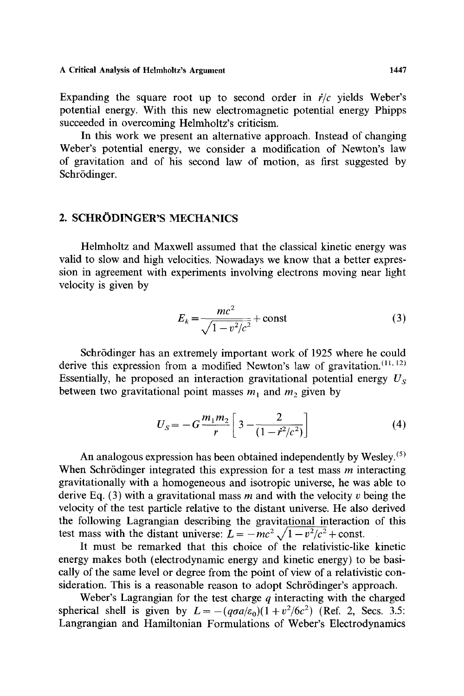A Critical **Analysis of Helmholtz's Argument** I447

Expanding the square root up to second order in  $\dot{r}/c$  yields Weber's potential energy. With this new electromagnetic potential energy Phipps succeeded in overcoming Helmholtz's criticism.

In this work we present an alternative approach. Instead of changing Weber's potential energy, we consider a modification of Newton's law of gravitation and of his second law of motion, as first suggested by Schrödinger.

### 2. SCHRÖDINGER'S MECHANICS

Helmholtz and Maxwell assumed that the classical kinetic energy was valid to slow and high velocities. Nowadays we know that a better expression in agreement with experiments involving electrons moving near light velocity is given by

$$
E_k = \frac{mc^2}{\sqrt{1 - v^2/c^2}} + \text{const}
$$
 (3)

Schrödinger has an extremely important work of 1925 where he could derive this expression from a modified Newton's law of gravitation.  $(11, 12)$ Essentially, he proposed an interaction gravitational potential energy *Us*  between two gravitational point masses  $m_1$  and  $m_2$  given by

$$
U_{S} = -G\frac{m_{1}m_{2}}{r}\left[3 - \frac{2}{(1 - r^{2}/c^{2})}\right]
$$
 (4)

An analogous expression has been obtained independently by Wesley.<sup>(5)</sup> When Schrödinger integrated this expression for a test mass  $m$  interacting gravitationally with a homogeneous and isotropic universe, he was able to derive Eq. (3) with a gravitational mass  $m$  and with the velocity v being the velocity of the test particle relative to the distant universe. He also derived the following Lagrangian describing the gravitational interaction of this test mass with the distant universe:  $L = -mc^2 \sqrt{1 - v^2/c^2} + \text{const.}$ 

It must be remarked that this choice of the relativistic-like kinetic energy makes both (electrodynamic energy and kinetic energy) to be basically of the same level or degree from the point of view of a relativistic consideration. This is a reasonable reason to adopt Schrödinger's approach.

Weber's Lagrangian for the test charge  $q$  interacting with the charged spherical shell is given by  $L = -(q\sigma a/\varepsilon_0)(1 + v^2/6c^2)$  (Ref. 2, Secs. 3.5: Langrangian and Hamiltonian Formulations of Weber's Electrodynamics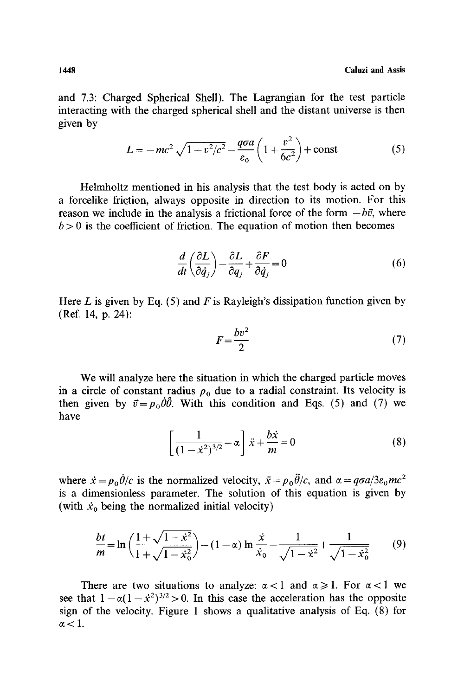and 7.3: Charged Spherical Shell). The Lagrangian for the test particle interacting with the charged spherical shell and the distant universe is then given by

$$
L = -mc^{2} \sqrt{1 - v^{2}/c^{2}} - \frac{q\sigma a}{\varepsilon_{0}} \left( 1 + \frac{v^{2}}{6c^{2}} \right) + \text{const}
$$
 (5)

Helmholtz mentioned in his analysis that the test body is acted on by a forcelike friction, always opposite in direction to its motion. For this reason we include in the analysis a frictional force of the form  $-b\vec{v}$ , where  $b > 0$  is the coefficient of friction. The equation of motion then becomes

$$
\frac{d}{dt}\left(\frac{\partial L}{\partial \dot{q}_j}\right) - \frac{\partial L}{\partial q_j} + \frac{\partial F}{\partial \dot{q}_j} = 0\tag{6}
$$

Here L is given by Eq. (5) and F is Rayleigh's dissipation function given by (Ref. 14, p. 24):

$$
F = \frac{bv^2}{2} \tag{7}
$$

We will analyze here the situation in which the charged particle moves in a circle of constant radius  $\rho_0$  due to a radial constraint. Its velocity is then given by  $\vec{v} = \rho_0 \dot{\theta} \dot{\theta}$ . With this condition and Eqs. (5) and (7) we have

$$
\left[\frac{1}{(1-x^2)^{3/2}} - \alpha\right] \ddot{x} + \frac{b\dot{x}}{m} = 0
$$
 (8)

where  $\dot{x} = \rho_0 \dot{\theta}/c$  is the normalized velocity,  $\ddot{x} = \rho_0 \ddot{\theta}/c$ , and  $\alpha = \frac{q\sigma a}{3\varepsilon_0 mc^2}$ is a dimensionless parameter. The solution of this equation is given by (with  $\dot{x}_0$  being the normalized initial velocity)

$$
\frac{bt}{m} = \ln\left(\frac{1+\sqrt{1-x^2}}{1+\sqrt{1-x_0^2}}\right) - (1-\alpha)\ln\frac{\dot{x}}{\dot{x}_0} - \frac{1}{\sqrt{1-x^2}} + \frac{1}{\sqrt{1-\dot{x}_0^2}}\tag{9}
$$

There are two situations to analyze:  $\alpha < 1$  and  $\alpha \ge 1$ . For  $\alpha < 1$  we see that  $1-\alpha(1-x^2)^{3/2} > 0$ . In this case the acceleration has the opposite sign of the velocity. Figure 1 shows a qualitative analysis of Eq. (8) for  $\alpha$  < 1.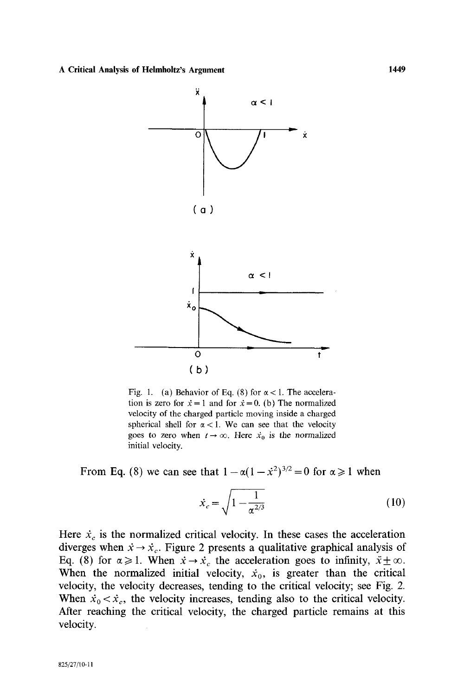

Fig. 1. (a) Behavior of Eq. (8) for  $\alpha < 1$ . The acceleration is zero for  $\dot{x} = 1$  and for  $\dot{x} = 0$ . (b) The normalized velocity of the charged particle moving inside a charged spherical shell for  $\alpha$  < 1. We can see that the velocity goes to zero when  $t \to \infty$ . Here  $\dot{x}_0$  is the normalized initial velocity.

From Eq. (8) we can see that  $1 - \alpha(1 - \dot{x}^2)^{3/2} = 0$  for  $\alpha \ge 1$  when

$$
\dot{x}_c = \sqrt{1 - \frac{1}{\alpha^{2/3}}} \tag{10}
$$

Here  $\dot{x}_c$  is the normalized critical velocity. In these cases the acceleration diverges when  $\dot{x} \rightarrow \dot{x}_c$ . Figure 2 presents a qualitative graphical analysis of Eq. (8) for  $\alpha \ge 1$ . When  $\dot{x} \rightarrow \dot{x}_c$  the acceleration goes to infinity,  $\ddot{x} \pm \infty$ . When the normalized initial velocity,  $\dot{x}_0$ , is greater than the critical velocity, the velocity decreases, tending to the critical velocity; see Fig. 2. When  $\dot{x}_0 < \dot{x}_c$ , the velocity increases, tending also to the critical velocity. After reaching the critical velocity, the charged particle remains at this velocity.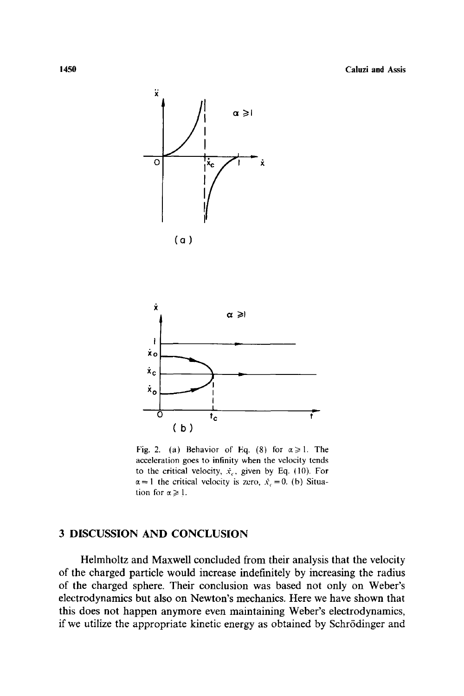



Fig. 2. (a) Behavior of Eq. (8) for  $\alpha \geq 1$ . The acceleration goes to infinity when the velocity tends to the critical velocity,  $\dot{x}_c$ , given by Eq. (10). For  $\alpha = 1$  the critical velocity is zero,  $\dot{x}_c = 0$ . (b) Situation for  $\alpha \geq 1$ .

## 3 DISCUSSION AND CONCLUSION

Helmholtz and Maxwell concluded from their analysis that the velocity of the charged particle would increase indefinitely by increasing the radius of the charged sphere. Their conclusion was based not only on Weber's electrodynamics but also on Newton's mechanics. Here we have shown that this does not happen anymore even maintaining Weber's electrodynamics, if we utilize the appropriate kinetic energy as obtained by Schr6dinger and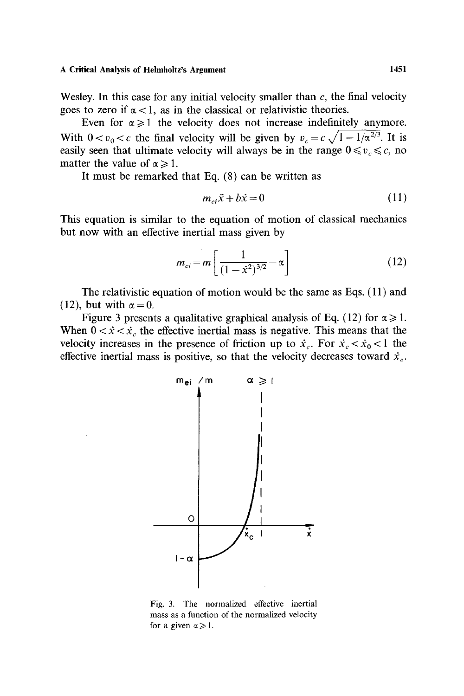**A Critical Analysis of Helmholtz's Argument 1451** 

Wesley. In this case for any initial velocity smaller than  $c$ , the final velocity goes to zero if  $\alpha$  < 1, as in the classical or relativistic theories.

Even for  $\alpha \geq 1$  the velocity does not increase indefinitely anymore. With  $0 < v_0 < c$  the final velocity will be given by  $v_c = c \sqrt{1 - 1/\alpha^{2/3}}$ . It is easily seen that ultimate velocity will always be in the range  $0 \le v_c \le c$ , no matter the value of  $\alpha \geq 1$ .

It must be remarked that Eq. (8) can be written as

$$
m_{ei}\ddot{x} + b\dot{x} = 0\tag{11}
$$

This equation is similar to the equation of motion of classical mechanics but now with an effective inertial mass given by

$$
m_{ei} = m \left[ \frac{1}{(1 - \dot{x}^2)^{3/2}} - \alpha \right]
$$
 (12)

The relativistic equation of motion would be the same as Eqs. ( 11 ) and (12), but with  $\alpha = 0$ .

Figure 3 presents a qualitative graphical analysis of Eq. (12) for  $\alpha \ge 1$ . When  $0 < \dot{x} < \dot{x}_c$  the effective inertial mass is negative. This means that the velocity increases in the presence of friction up to  $\dot{x}_c$ . For  $\dot{x}_c < \dot{x}_0 < 1$  the effective inertial mass is positive, so that the velocity decreases toward  $\dot{x}_c$ .



Fig. 3. The normalized effective inertial mass as a function of the normalized velocity for a given  $\alpha \geq 1$ .